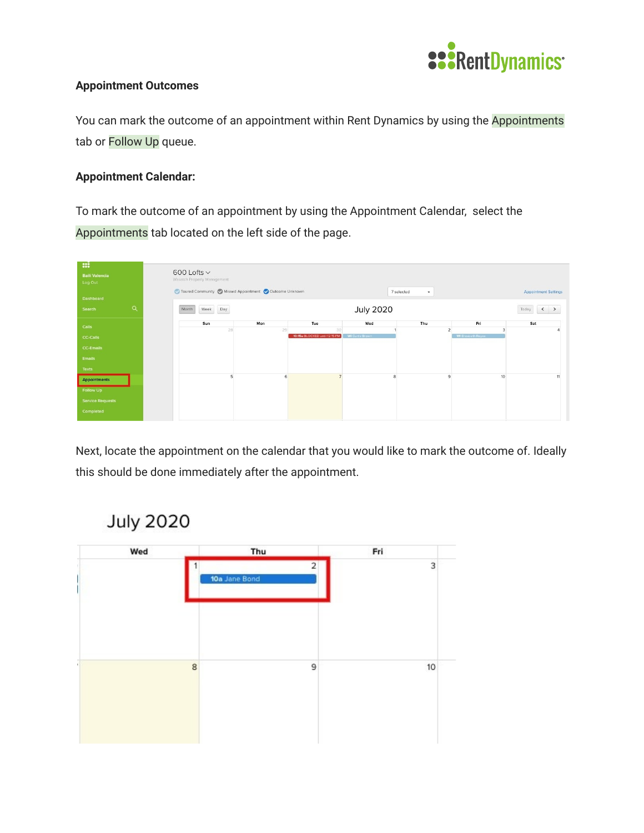

## **Appointment Outcomes**

You can mark the outcome of an appointment within Rent Dynamics by using the Appointments tab or Follow Up queue.

## **Appointment Calendar:**

To mark the outcome of an appointment by using the Appointment Calendar, select the Appointments tab located on the left side of the page.



Next, locate the appointment on the calendar that you would like to mark the outcome of. Ideally this should be done immediately after the appointment.

## **July 2020**

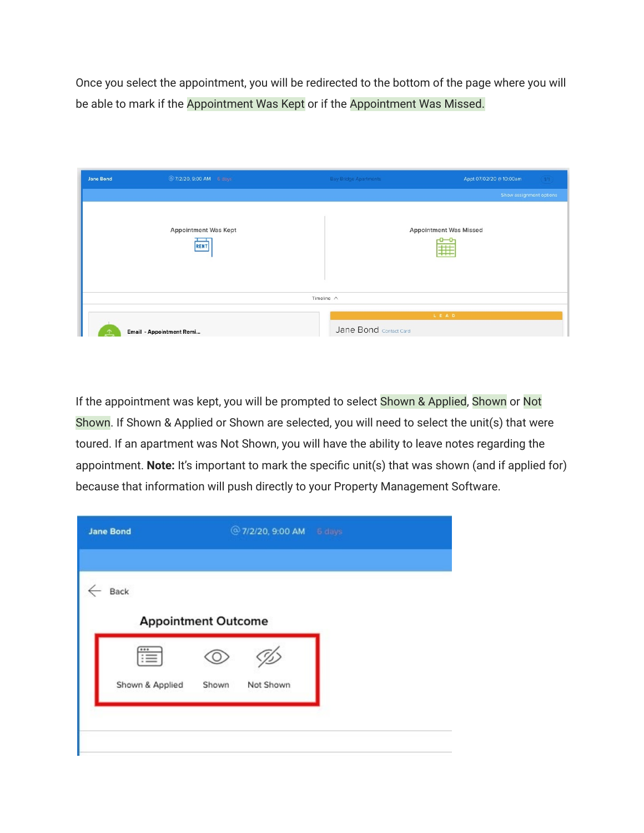Once you select the appointment, you will be redirected to the bottom of the page where you will be able to mark if the Appointment Was Kept or if the Appointment Was Missed.

| <b>Jane Bond</b> | @ 7/2/20, 9:00 AM 6 days            | <b>Bay Bridge Apartments</b> | Appt 07/02/20 @ 10:00am<br>1/1     |
|------------------|-------------------------------------|------------------------------|------------------------------------|
|                  |                                     |                              | Show assignment options            |
|                  | <b>Appointment Was Kept</b><br>RENT |                              | <b>Appointment Was Missed</b><br>用 |
|                  |                                     | Timeline $\wedge$            |                                    |
|                  | Email - Appointment Remi            | Jane Bond Contact Card       | LEAD                               |

If the appointment was kept, you will be prompted to select Shown & Applied, Shown or Not Shown. If Shown & Applied or Shown are selected, you will need to select the unit(s) that were toured. If an apartment was Not Shown, you will have the ability to leave notes regarding the appointment. **Note:** It's important to mark the specific unit(s) that was shown (and if applied for) because that information will push directly to your Property Management Software.

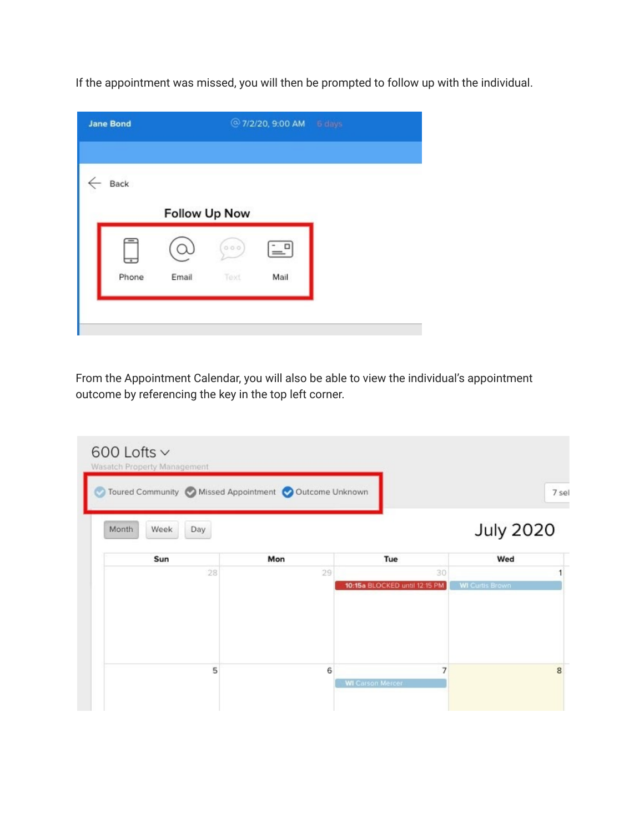If the appointment was missed, you will then be prompted to follow up with the individual.

| <b>Jane Bond</b> |       |               | @ 7/2/20, 9:00 AM 6 days |  |
|------------------|-------|---------------|--------------------------|--|
| Back             |       |               |                          |  |
|                  |       | Follow Up Now |                          |  |
| ⇁                |       | 0.0.0         | $\overline{a}$           |  |
| Phone            | Email | Text          | Mail                     |  |

From the Appointment Calendar, you will also be able to view the individual's appointment outcome by referencing the key in the top left corner.

|     | Toured Community Missed Appointment Outcome Unknown |    |                        | 7 sel |
|-----|-----------------------------------------------------|----|------------------------|-------|
|     |                                                     |    | <b>July 2020</b>       |       |
| Mon | Tue                                                 |    | Wed                    |       |
|     | 29                                                  | 30 |                        |       |
|     | 10:15a BLOCKED until 12:15 PM                       |    | <b>WI Curtis Brown</b> |       |
|     |                                                     | 7  |                        | 8     |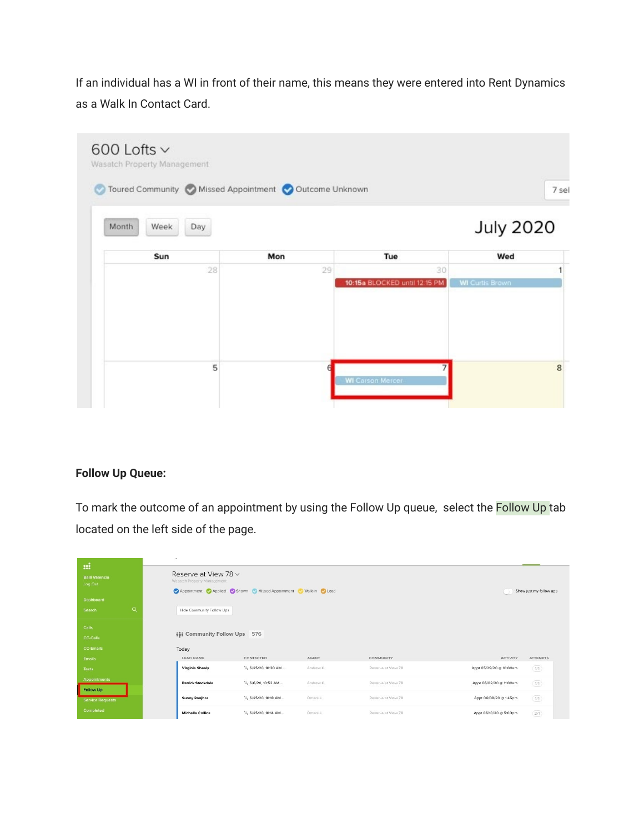If an individual has a WI in front of their name, this means they were entered into Rent Dynamics as a Walk In Contact Card.

| Toured Community Missed Appointment Outcome Unknown |     |                                     |                        |
|-----------------------------------------------------|-----|-------------------------------------|------------------------|
| Month<br>Week<br>Day                                |     |                                     | <b>July 2020</b>       |
| Sun                                                 | Mon | Tue                                 | Wed                    |
| 28                                                  | 29  | 30<br>10:15a BLOCKED until 12:15 PM | <b>WI Curtis Brown</b> |
|                                                     |     |                                     |                        |
| 5                                                   |     |                                     |                        |

## **Follow Up Queue:**

To mark the outcome of an appointment by using the Follow Up queue, select the Follow Up tab located on the left side of the page.

| $\mathbf{m}$<br><b>Baili Valencia</b><br>Log Out<br><b>Dashboard</b><br>$\alpha$<br>Search | $\sim$<br>Reserve at View 78 v<br>Wasatch Property Management<br>Hide Community Follow Ups | Appointment Applied Shown Missed Appointment | Walk-in Colead |                    |                         | Show just my follow ups      |
|--------------------------------------------------------------------------------------------|--------------------------------------------------------------------------------------------|----------------------------------------------|----------------|--------------------|-------------------------|------------------------------|
| Calls<br><b>CC-Calls</b><br><b>CC-Emails</b><br>Emails                                     | <b>ivi</b> Community Follow Ups<br>Today<br><b>LEAD NAME</b>                               | 576<br>CONTACTED                             | <b>AGENT</b>   | <b>COMMUNITY</b>   | <b>ACTIVITY</b>         | <b>ATTEMPTS</b>              |
| Texts                                                                                      | <b>Virginia Sheely</b>                                                                     | 6/25/20, 10:30 AM                            | Andrew K.      | Reserve at View 78 | Appt 05/29/20 @ 10:00am | $\left( \overline{u}\right)$ |
| <b>Appointments</b><br><b>Follow Up</b>                                                    | <b>Patrick Stockdale</b>                                                                   | 6/6/20, 10:52 AM                             | Andrew K.      | Reserve at View 78 | Appt 06/02/20 @ 11:00am | (1/1)                        |
| <b>Service Requests</b>                                                                    | <b>Sunny Ranjbar</b>                                                                       | 6/25/20, 10:18 AM                            | Omarii J.      | Reserve at View 78 | Appt 06/08/20 @ 1:45pm  | $(1/1)$                      |
| Completed                                                                                  | <b>Michelle Collins</b>                                                                    | 6/25/20, 10:14 AM                            | Omarii J.      | Reserve at View 78 | Appt 06/10/20 @ 5:00pm  | $(2/1)$                      |